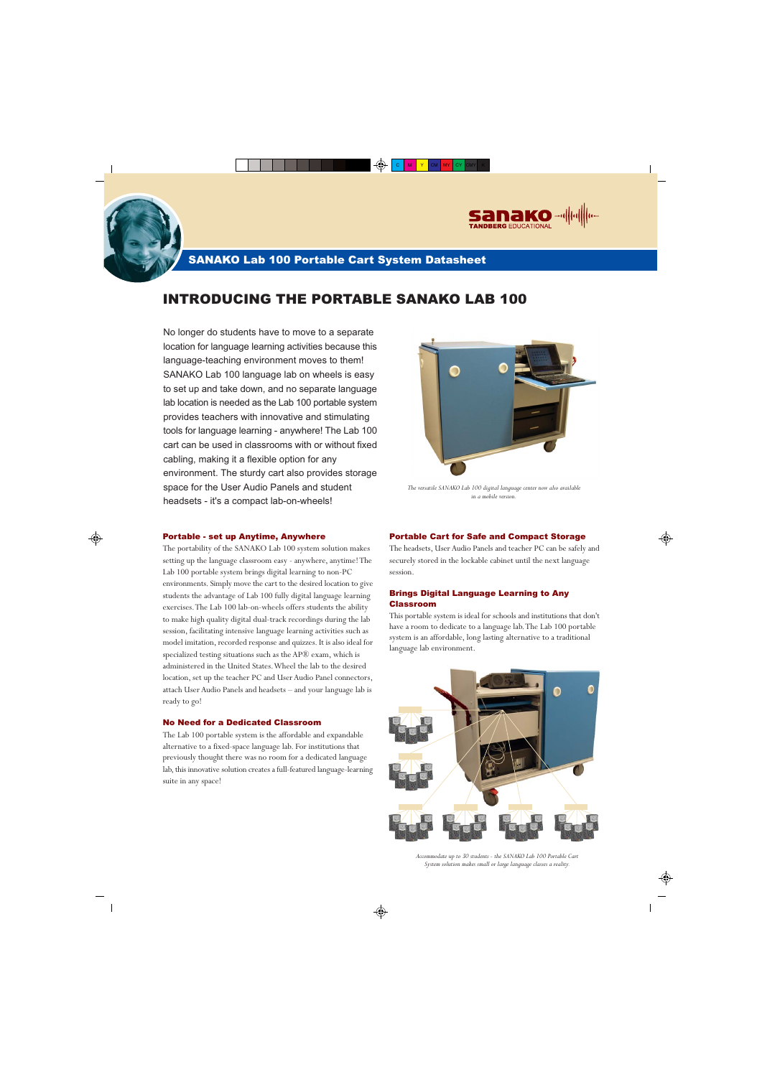

## SANAKO Lab 100 Portable Cart System Datasheet

# INTRODUCING THE PORTABLE SANAKO LAB 100

No longer do students have to move to a separate location for language learning activities because this language-teaching environment moves to them! SANAKO Lab 100 language lab on wheels is easy to set up and take down, and no separate language lab location is needed as the Lab 100 portable system provides teachers with innovative and stimulating tools for language learning - anywhere! The Lab 100 cart can be used in classrooms with or without fixed cabling, making it a flexible option for any environment. The sturdy cart also provides storage space for the User Audio Panels and student headsets - it's a compact lab-on-wheels!



*The versatile SANAKO Lab 100 digital language center now also available in a mobile version.*

#### Portable - set up Anytime, Anywhere

The portability of the SANAKO Lab 100 system solution makes setting up the language classroom easy - anywhere, anytime! The Lab 100 portable system brings digital learning to non-PC environments. Simply move the cart to the desired location to give students the advantage of Lab 100 fully digital language learning exercises. The Lab 100 lab-on-wheels offers students the ability to make high quality digital dual-track recordings during the lab session, facilitating intensive language learning activities such as model imitation, recorded response and quizzes. It is also ideal for specialized testing situations such as the AP® exam, which is administered in the United States. Wheel the lab to the desired location, set up the teacher PC and User Audio Panel connectors, attach User Audio Panels and headsets – and your language lab is ready to go!

### No Need for a Dedicated Classroom

The Lab 100 portable system is the affordable and expandable alternative to a fixed-space language lab. For institutions that previously thought there was no room for a dedicated language lab, this innovative solution creates a full-featured language-learning suite in any space!

#### Portable Cart for Safe and Compact Storage

The headsets, User Audio Panels and teacher PC can be safely and securely stored in the lockable cabinet until the next language session.

## Brings Digital Language Learning to Any Classroom

This portable system is ideal for schools and institutions that don't have a room to dedicate to a language lab. The Lab 100 portable system is an affordable, long lasting alternative to a traditional language lab environment.



*Accommodate up to 30 students - the SANAKO Lab 100 Portable Cart System solution makes small or large language classes a reality.*